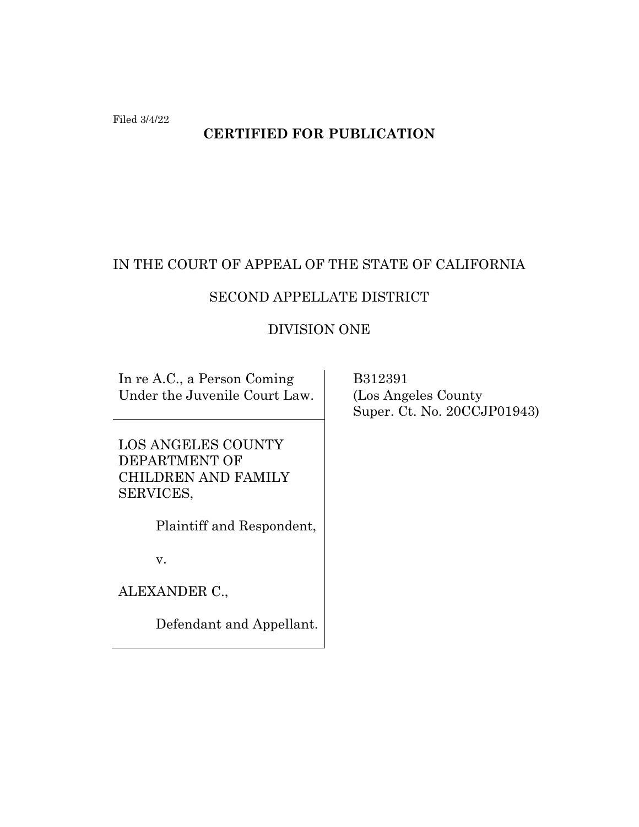Filed 3/4/22

# **CERTIFIED FOR PUBLICATION**

# IN THE COURT OF APPEAL OF THE STATE OF CALIFORNIA

# SECOND APPELLATE DISTRICT

## DIVISION ONE

In re A.C., a Person Coming Under the Juvenile Court Law.

LOS ANGELES COUNTY DEPARTMENT OF CHILDREN AND FAMILY SERVICES,

Plaintiff and Respondent,

v.

ALEXANDER C.,

Defendant and Appellant.

 B312391 (Los Angeles County Super. Ct. No. 20CCJP01943)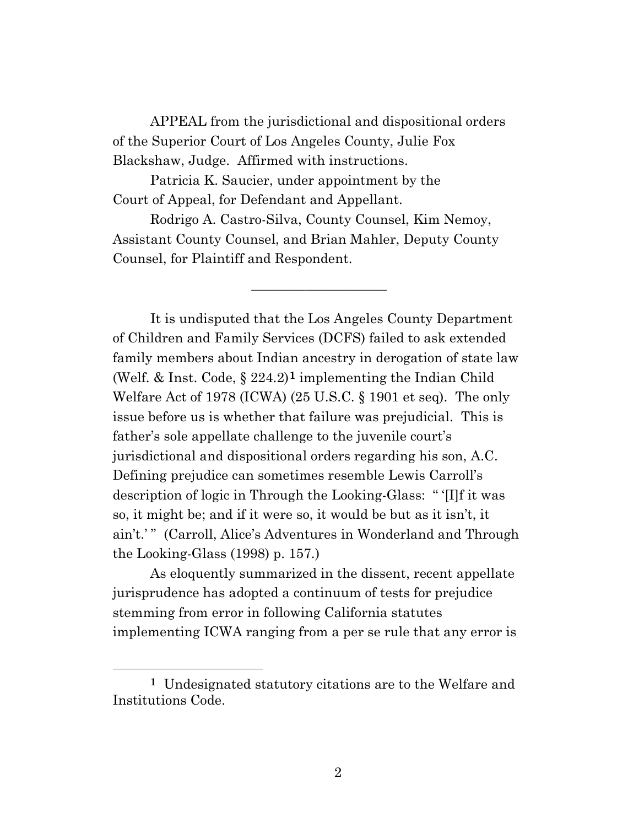APPEAL from the jurisdictional and dispositional orders of the Superior Court of Los Angeles County, Julie Fox Blackshaw, Judge. Affirmed with instructions.

Patricia K. Saucier, under appointment by the Court of Appeal, for Defendant and Appellant.

Rodrigo A. Castro-Silva, County Counsel, Kim Nemoy, Assistant County Counsel, and Brian Mahler, Deputy County Counsel, for Plaintiff and Respondent.

\_\_\_\_\_\_\_\_\_\_\_\_\_\_\_\_\_\_\_\_

It is undisputed that the Los Angeles County Department of Children and Family Services (DCFS) failed to ask extended family members about Indian ancestry in derogation of state law (Welf. & Inst. Code, § 224.2)**[1](#page-1-0)** implementing the Indian Child Welfare Act of 1978 (ICWA) (25 U.S.C. § 1901 et seq). The only issue before us is whether that failure was prejudicial. This is father's sole appellate challenge to the juvenile court's jurisdictional and dispositional orders regarding his son, A.C. Defining prejudice can sometimes resemble Lewis Carroll's description of logic in Through the Looking-Glass: " '[I]f it was so, it might be; and if it were so, it would be but as it isn't, it ain't.' " (Carroll, Alice's Adventures in Wonderland and Through the Looking-Glass (1998) p. 157.)

As eloquently summarized in the dissent, recent appellate jurisprudence has adopted a continuum of tests for prejudice stemming from error in following California statutes implementing ICWA ranging from a per se rule that any error is

<span id="page-1-0"></span>**<sup>1</sup>** Undesignated statutory citations are to the Welfare and Institutions Code.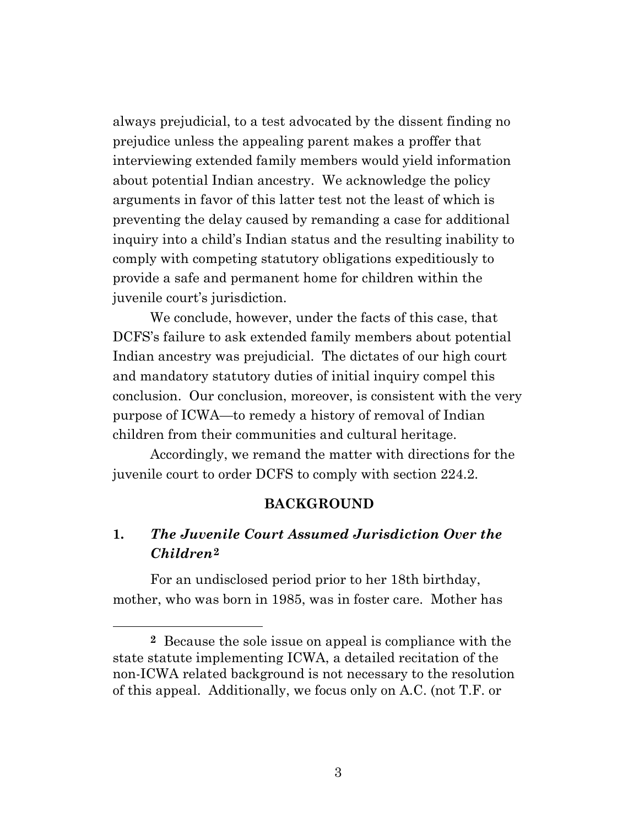always prejudicial, to a test advocated by the dissent finding no prejudice unless the appealing parent makes a proffer that interviewing extended family members would yield information about potential Indian ancestry. We acknowledge the policy arguments in favor of this latter test not the least of which is preventing the delay caused by remanding a case for additional inquiry into a child's Indian status and the resulting inability to comply with competing statutory obligations expeditiously to provide a safe and permanent home for children within the juvenile court's jurisdiction.

We conclude, however, under the facts of this case, that DCFS's failure to ask extended family members about potential Indian ancestry was prejudicial. The dictates of our high court and mandatory statutory duties of initial inquiry compel this conclusion. Our conclusion, moreover, is consistent with the very purpose of ICWA—to remedy a history of removal of Indian children from their communities and cultural heritage.

Accordingly, we remand the matter with directions for the juvenile court to order DCFS to comply with section 224.2.

#### **BACKGROUND**

# **1.** *The Juvenile Court Assumed Jurisdiction Over the Children***[2](#page-2-0)**

For an undisclosed period prior to her 18th birthday, mother, who was born in 1985, was in foster care. Mother has

<span id="page-2-0"></span>**<sup>2</sup>** Because the sole issue on appeal is compliance with the state statute implementing ICWA, a detailed recitation of the non-ICWA related background is not necessary to the resolution of this appeal. Additionally, we focus only on A.C. (not T.F. or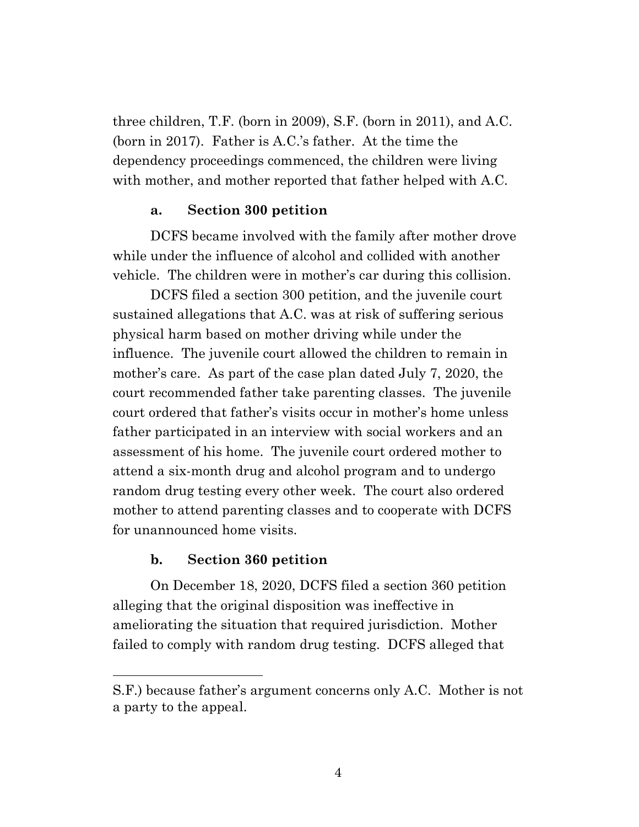three children, T.F. (born in 2009), S.F. (born in 2011), and A.C. (born in 2017). Father is A.C.'s father. At the time the dependency proceedings commenced, the children were living with mother, and mother reported that father helped with A.C.

### **a. Section 300 petition**

DCFS became involved with the family after mother drove while under the influence of alcohol and collided with another vehicle. The children were in mother's car during this collision.

DCFS filed a section 300 petition, and the juvenile court sustained allegations that A.C. was at risk of suffering serious physical harm based on mother driving while under the influence. The juvenile court allowed the children to remain in mother's care. As part of the case plan dated July 7, 2020, the court recommended father take parenting classes. The juvenile court ordered that father's visits occur in mother's home unless father participated in an interview with social workers and an assessment of his home. The juvenile court ordered mother to attend a six-month drug and alcohol program and to undergo random drug testing every other week. The court also ordered mother to attend parenting classes and to cooperate with DCFS for unannounced home visits.

### **b. Section 360 petition**

On December 18, 2020, DCFS filed a section 360 petition alleging that the original disposition was ineffective in ameliorating the situation that required jurisdiction. Mother failed to comply with random drug testing. DCFS alleged that

S.F.) because father's argument concerns only A.C. Mother is not a party to the appeal.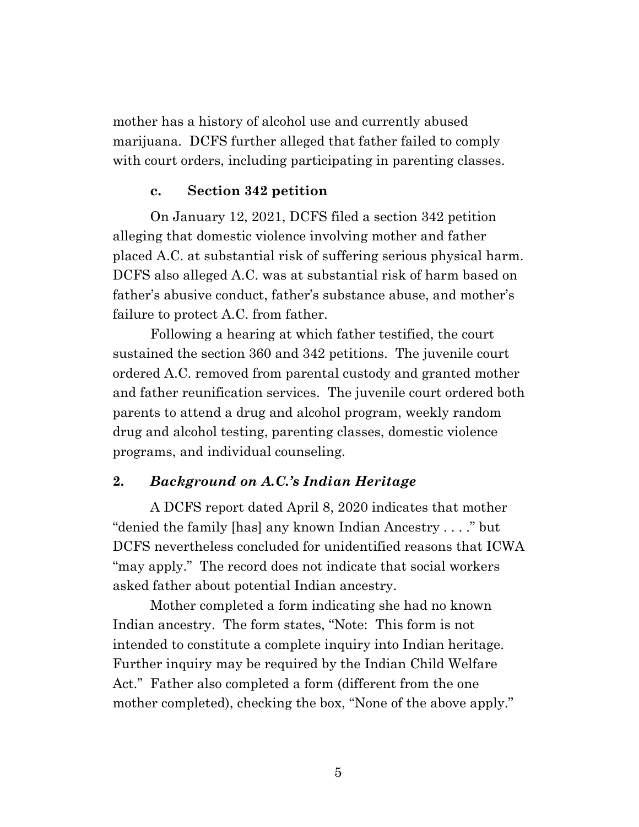mother has a history of alcohol use and currently abused marijuana. DCFS further alleged that father failed to comply with court orders, including participating in parenting classes.

## **c. Section 342 petition**

On January 12, 2021, DCFS filed a section 342 petition alleging that domestic violence involving mother and father placed A.C. at substantial risk of suffering serious physical harm. DCFS also alleged A.C. was at substantial risk of harm based on father's abusive conduct, father's substance abuse, and mother's failure to protect A.C. from father.

Following a hearing at which father testified, the court sustained the section 360 and 342 petitions. The juvenile court ordered A.C. removed from parental custody and granted mother and father reunification services. The juvenile court ordered both parents to attend a drug and alcohol program, weekly random drug and alcohol testing, parenting classes, domestic violence programs, and individual counseling.

## **2.** *Background on A.C.'s Indian Heritage*

A DCFS report dated April 8, 2020 indicates that mother "denied the family [has] any known Indian Ancestry . . . ." but DCFS nevertheless concluded for unidentified reasons that ICWA "may apply." The record does not indicate that social workers asked father about potential Indian ancestry.

Mother completed a form indicating she had no known Indian ancestry. The form states, "Note: This form is not intended to constitute a complete inquiry into Indian heritage. Further inquiry may be required by the Indian Child Welfare Act." Father also completed a form (different from the one mother completed), checking the box, "None of the above apply."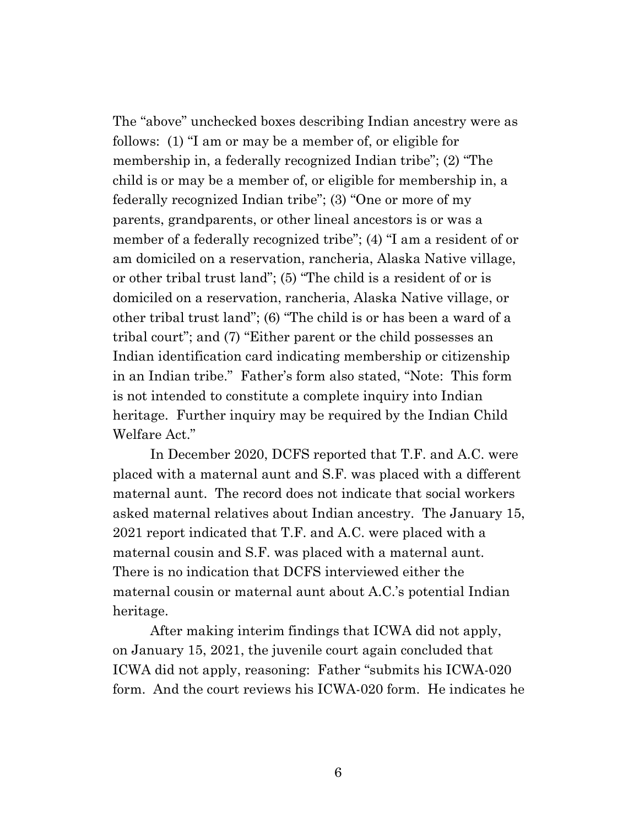The "above" unchecked boxes describing Indian ancestry were as follows: (1) "I am or may be a member of, or eligible for membership in, a federally recognized Indian tribe"; (2) "The child is or may be a member of, or eligible for membership in, a federally recognized Indian tribe"; (3) "One or more of my parents, grandparents, or other lineal ancestors is or was a member of a federally recognized tribe"; (4) "I am a resident of or am domiciled on a reservation, rancheria, Alaska Native village, or other tribal trust land"; (5) "The child is a resident of or is domiciled on a reservation, rancheria, Alaska Native village, or other tribal trust land"; (6) "The child is or has been a ward of a tribal court"; and (7) "Either parent or the child possesses an Indian identification card indicating membership or citizenship in an Indian tribe." Father's form also stated, "Note: This form is not intended to constitute a complete inquiry into Indian heritage. Further inquiry may be required by the Indian Child Welfare Act."

In December 2020, DCFS reported that T.F. and A.C. were placed with a maternal aunt and S.F. was placed with a different maternal aunt. The record does not indicate that social workers asked maternal relatives about Indian ancestry. The January 15, 2021 report indicated that T.F. and A.C. were placed with a maternal cousin and S.F. was placed with a maternal aunt. There is no indication that DCFS interviewed either the maternal cousin or maternal aunt about A.C.'s potential Indian heritage.

After making interim findings that ICWA did not apply, on January 15, 2021, the juvenile court again concluded that ICWA did not apply, reasoning: Father "submits his ICWA-020 form. And the court reviews his ICWA-020 form. He indicates he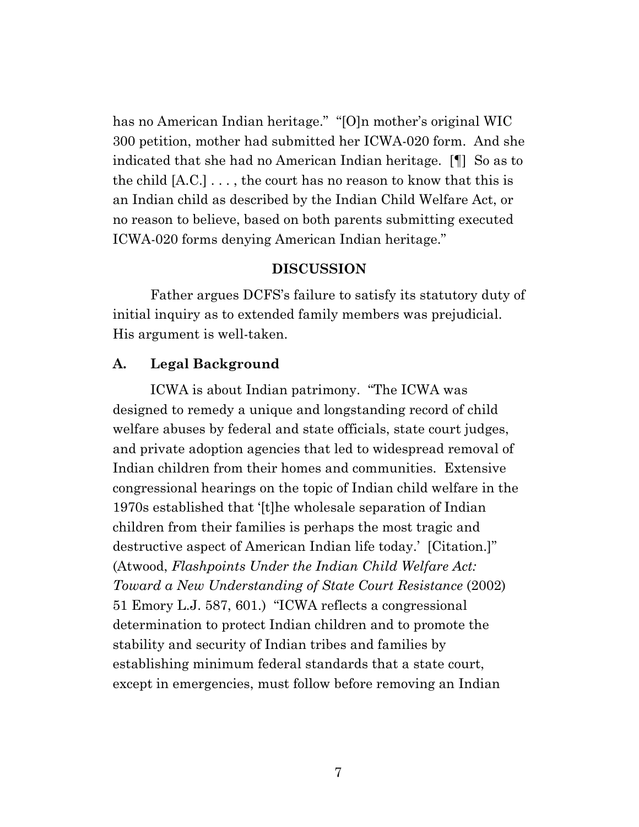has no American Indian heritage." "[O]n mother's original WIC 300 petition, mother had submitted her ICWA-020 form. And she indicated that she had no American Indian heritage. [¶] So as to the child [A.C.] . . . , the court has no reason to know that this is an Indian child as described by the Indian Child Welfare Act, or no reason to believe, based on both parents submitting executed ICWA-020 forms denying American Indian heritage."

#### **DISCUSSION**

Father argues DCFS's failure to satisfy its statutory duty of initial inquiry as to extended family members was prejudicial. His argument is well-taken.

## **A. Legal Background**

ICWA is about Indian patrimony. "The ICWA was designed to remedy a unique and longstanding record of child welfare abuses by federal and state officials, state court judges, and private adoption agencies that led to widespread removal of Indian children from their homes and communities. Extensive congressional hearings on the topic of Indian child welfare in the 1970s established that '[t]he wholesale separation of Indian children from their families is perhaps the most tragic and destructive aspect of American Indian life today.' [Citation.]" (Atwood, *Flashpoints Under the Indian Child Welfare Act: Toward a New Understanding of State Court Resistance* (2002) 51 Emory L.J. 587, 601.) "ICWA reflects a congressional determination to protect Indian children and to promote the stability and security of Indian tribes and families by establishing minimum federal standards that a state court, except in emergencies, must follow before removing an Indian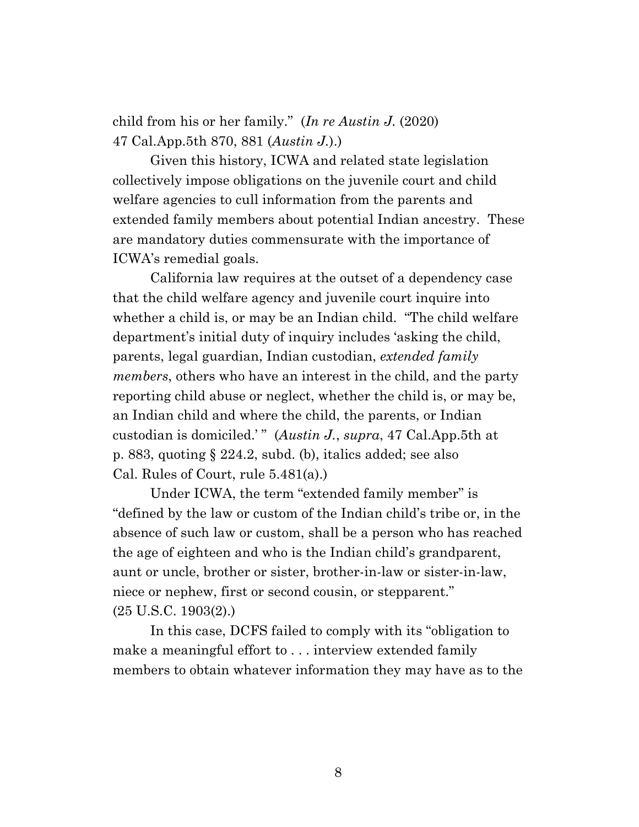child from his or her family." (*In re Austin J.* (2020) 47 Cal.App.5th 870, 881 (*Austin J.*).)

Given this history, ICWA and related state legislation collectively impose obligations on the juvenile court and child welfare agencies to cull information from the parents and extended family members about potential Indian ancestry. These are mandatory duties commensurate with the importance of ICWA's remedial goals.

California law requires at the outset of a dependency case that the child welfare agency and juvenile court inquire into whether a child is, or may be an Indian child. "The child welfare department's initial duty of inquiry includes 'asking the child, parents, legal guardian, Indian custodian, *extended family members*, others who have an interest in the child, and the party reporting child abuse or neglect, whether the child is, or may be, an Indian child and where the child, the parents, or Indian custodian is domiciled.' " (*Austin J.*, *supra*, 47 Cal.App.5th at p. 883, quoting § 224.2, subd. (b), italics added; see also Cal. Rules of Court, rule 5.481(a).)

Under ICWA, the term "extended family member" is "defined by the law or custom of the Indian child's tribe or, in the absence of such law or custom, shall be a person who has reached the age of eighteen and who is the Indian child's grandparent, aunt or uncle, brother or sister, brother-in-law or sister-in-law, niece or nephew, first or second cousin, or stepparent." (25 U.S.C. 1903(2).)

In this case, DCFS failed to comply with its "obligation to make a meaningful effort to . . . interview extended family members to obtain whatever information they may have as to the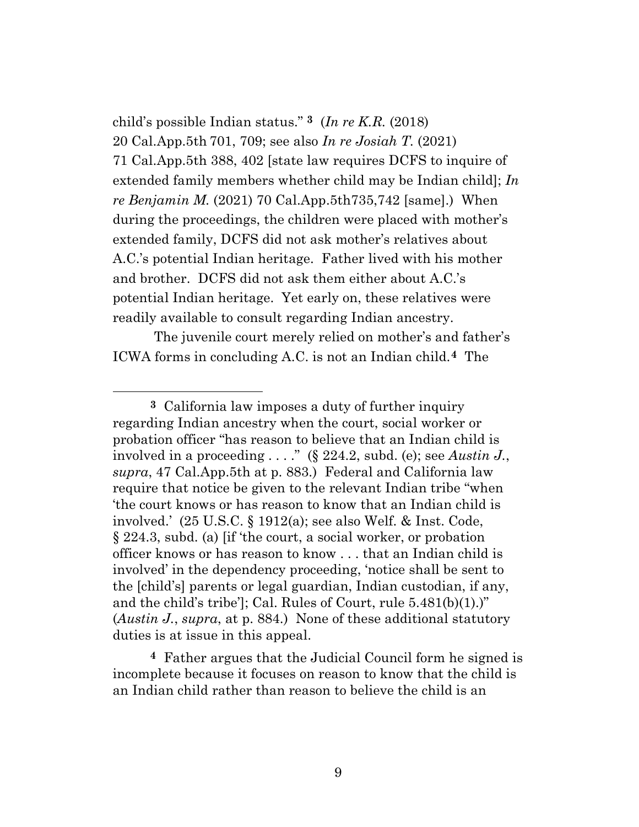child's possible Indian status." **[3](#page-8-0)** (*In re K.R.* (2018) 20 Cal.App.5th 701, 709; see also *In re Josiah T.* (2021) 71 Cal.App.5th 388, 402 [state law requires DCFS to inquire of extended family members whether child may be Indian child]; *In re Benjamin M.* (2021) 70 Cal.App.5th735,742 [same].) When during the proceedings, the children were placed with mother's extended family, DCFS did not ask mother's relatives about A.C.'s potential Indian heritage. Father lived with his mother and brother. DCFS did not ask them either about A.C.'s potential Indian heritage. Yet early on, these relatives were readily available to consult regarding Indian ancestry.

The juvenile court merely relied on mother's and father's ICWA forms in concluding A.C. is not an Indian child.**[4](#page-8-1)** The

<span id="page-8-0"></span>**3** California law imposes a duty of further inquiry regarding Indian ancestry when the court, social worker or probation officer "has reason to believe that an Indian child is involved in a proceeding . . . ." (§ 224.2, subd. (e); see *Austin J.*, *supra*, 47 Cal.App.5th at p. 883.) Federal and California law require that notice be given to the relevant Indian tribe "when 'the court knows or has reason to know that an Indian child is involved.' (25 U.S.C. § 1912(a); see also Welf. & Inst. Code, § 224.3, subd. (a) [if 'the court, a social worker, or probation officer knows or has reason to know . . . that an Indian child is involved' in the dependency proceeding, 'notice shall be sent to the [child's] parents or legal guardian, Indian custodian, if any, and the child's tribe']; Cal. Rules of Court, rule 5.481(b)(1).)" (*Austin J.*, *supra*, at p. 884.) None of these additional statutory duties is at issue in this appeal.

<span id="page-8-1"></span>**4** Father argues that the Judicial Council form he signed is incomplete because it focuses on reason to know that the child is an Indian child rather than reason to believe the child is an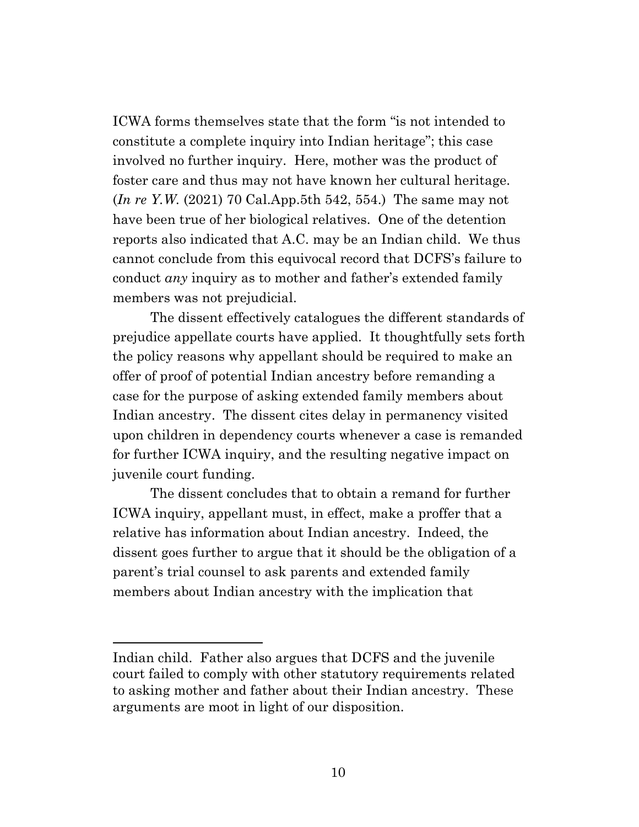ICWA forms themselves state that the form "is not intended to constitute a complete inquiry into Indian heritage"; this case involved no further inquiry. Here, mother was the product of foster care and thus may not have known her cultural heritage. (*In re Y.W.* (2021) 70 Cal.App.5th 542, 554.) The same may not have been true of her biological relatives. One of the detention reports also indicated that A.C. may be an Indian child. We thus cannot conclude from this equivocal record that DCFS's failure to conduct *any* inquiry as to mother and father's extended family members was not prejudicial.

The dissent effectively catalogues the different standards of prejudice appellate courts have applied. It thoughtfully sets forth the policy reasons why appellant should be required to make an offer of proof of potential Indian ancestry before remanding a case for the purpose of asking extended family members about Indian ancestry. The dissent cites delay in permanency visited upon children in dependency courts whenever a case is remanded for further ICWA inquiry, and the resulting negative impact on juvenile court funding.

The dissent concludes that to obtain a remand for further ICWA inquiry, appellant must, in effect, make a proffer that a relative has information about Indian ancestry. Indeed, the dissent goes further to argue that it should be the obligation of a parent's trial counsel to ask parents and extended family members about Indian ancestry with the implication that

Indian child. Father also argues that DCFS and the juvenile court failed to comply with other statutory requirements related to asking mother and father about their Indian ancestry. These arguments are moot in light of our disposition.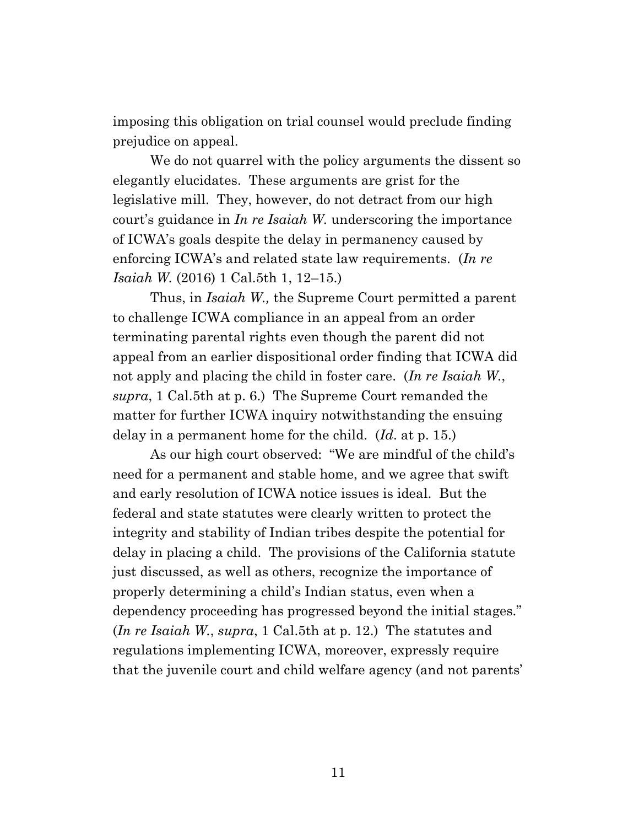imposing this obligation on trial counsel would preclude finding prejudice on appeal.

We do not quarrel with the policy arguments the dissent so elegantly elucidates. These arguments are grist for the legislative mill. They, however, do not detract from our high court's guidance in *In re Isaiah W.* underscoring the importance of ICWA's goals despite the delay in permanency caused by enforcing ICWA's and related state law requirements. (*In re Isaiah W.* (2016) 1 Cal.5th 1, 12–15.)

Thus, in *Isaiah W.,* the Supreme Court permitted a parent to challenge ICWA compliance in an appeal from an order terminating parental rights even though the parent did not appeal from an earlier dispositional order finding that ICWA did not apply and placing the child in foster care. (*In re Isaiah W.*, *supra*, 1 Cal.5th at p. 6.) The Supreme Court remanded the matter for further ICWA inquiry notwithstanding the ensuing delay in a permanent home for the child. (*Id*. at p. 15.)

As our high court observed: "We are mindful of the child's need for a permanent and stable home, and we agree that swift and early resolution of ICWA notice issues is ideal. But the federal and state statutes were clearly written to protect the integrity and stability of Indian tribes despite the potential for delay in placing a child. The provisions of the California statute just discussed, as well as others, recognize the importance of properly determining a child's Indian status, even when a dependency proceeding has progressed beyond the initial stages." (*In re Isaiah W.*, *supra*, 1 Cal.5th at p. 12.) The statutes and regulations implementing ICWA, moreover, expressly require that the juvenile court and child welfare agency (and not parents'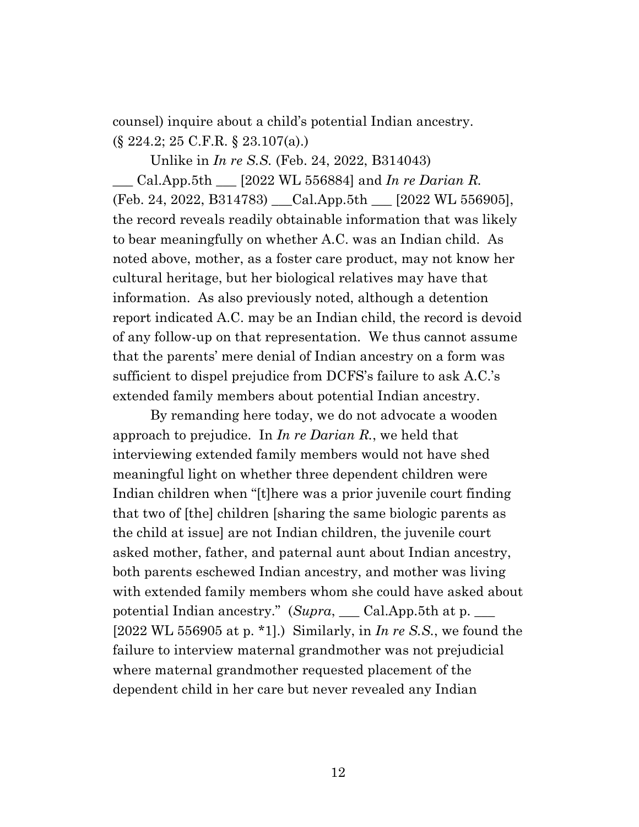counsel) inquire about a child's potential Indian ancestry. (§ 224.2; 25 C.F.R. § 23.107(a).)

Unlike in *In re S.S.* (Feb. 24, 2022, B314043)

\_\_\_ Cal.App.5th \_\_\_ [2022 WL 556884] and *In re Darian R.*  (Feb. 24, 2022, B314783) \_\_\_Cal.App.5th \_\_\_ [2022 WL 556905], the record reveals readily obtainable information that was likely to bear meaningfully on whether A.C. was an Indian child. As noted above, mother, as a foster care product, may not know her cultural heritage, but her biological relatives may have that information. As also previously noted, although a detention report indicated A.C. may be an Indian child, the record is devoid of any follow-up on that representation. We thus cannot assume that the parents' mere denial of Indian ancestry on a form was sufficient to dispel prejudice from DCFS's failure to ask A.C.'s extended family members about potential Indian ancestry.

By remanding here today, we do not advocate a wooden approach to prejudice. In *In re Darian R.*, we held that interviewing extended family members would not have shed meaningful light on whether three dependent children were Indian children when "[t]here was a prior juvenile court finding that two of [the] children [sharing the same biologic parents as the child at issue] are not Indian children, the juvenile court asked mother, father, and paternal aunt about Indian ancestry, both parents eschewed Indian ancestry, and mother was living with extended family members whom she could have asked about potential Indian ancestry." (*Supra*, \_\_\_ Cal.App.5th at p. \_\_\_ [2022 WL 556905 at p. \*1].) Similarly, in *In re S.S.*, we found the failure to interview maternal grandmother was not prejudicial where maternal grandmother requested placement of the dependent child in her care but never revealed any Indian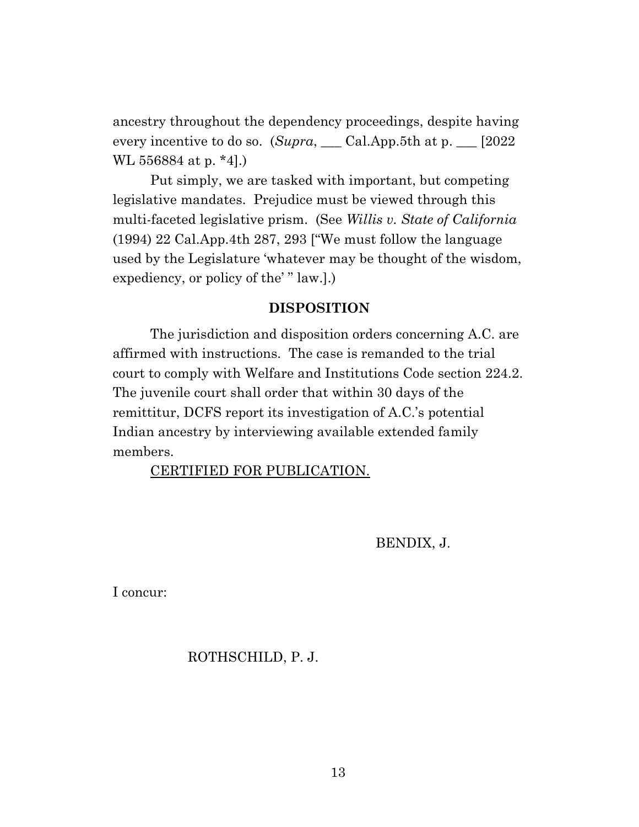ancestry throughout the dependency proceedings, despite having every incentive to do so. (*Supra*, \_\_\_ Cal.App.5th at p. \_\_\_ [2022 WL 556884 at p. \*4].)

Put simply, we are tasked with important, but competing legislative mandates. Prejudice must be viewed through this multi-faceted legislative prism. (See *Willis v. State of California* (1994) 22 Cal.App.4th 287, 293 ["We must follow the language used by the Legislature 'whatever may be thought of the wisdom, expediency, or policy of the' " law.].)

### **DISPOSITION**

The jurisdiction and disposition orders concerning A.C. are affirmed with instructions. The case is remanded to the trial court to comply with Welfare and Institutions Code section 224.2. The juvenile court shall order that within 30 days of the remittitur, DCFS report its investigation of A.C.'s potential Indian ancestry by interviewing available extended family members.

CERTIFIED FOR PUBLICATION.

BENDIX, J.

I concur:

## ROTHSCHILD, P. J.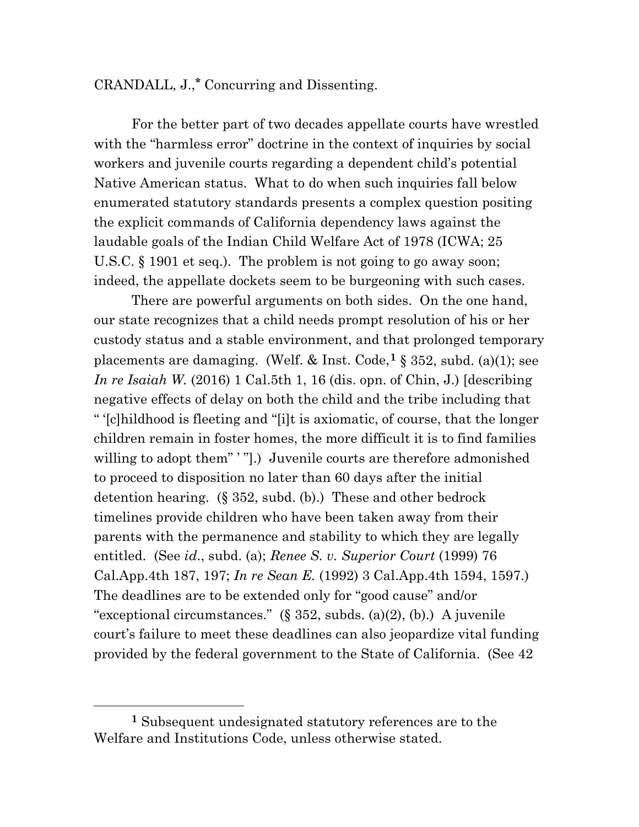# CRANDALL, J.,**\*** Concurring and Dissenting.

For the better part of two decades appellate courts have wrestled with the "harmless error" doctrine in the context of inquiries by social workers and juvenile courts regarding a dependent child's potential Native American status. What to do when such inquiries fall below enumerated statutory standards presents a complex question positing the explicit commands of California dependency laws against the laudable goals of the Indian Child Welfare Act of 1978 (ICWA; 25 U.S.C. § 1901 et seq.). The problem is not going to go away soon; indeed, the appellate dockets seem to be burgeoning with such cases.

There are powerful arguments on both sides. On the one hand, our state recognizes that a child needs prompt resolution of his or her custody status and a stable environment, and that prolonged temporary placements are damaging. (Welf. & Inst. Code,**[1](#page-13-0)** § 352, subd. (a)(1); see *In re Isaiah W.* (2016) 1 Cal.5th 1, 16 (dis. opn. of Chin, J.) [describing negative effects of delay on both the child and the tribe including that " '[c]hildhood is fleeting and "[i]t is axiomatic, of course, that the longer children remain in foster homes, the more difficult it is to find families willing to adopt them" '".) Juvenile courts are therefore admonished to proceed to disposition no later than 60 days after the initial detention hearing. (§ 352, subd. (b).) These and other bedrock timelines provide children who have been taken away from their parents with the permanence and stability to which they are legally entitled. (See *id*., subd. (a); *Renee S. v. Superior Court* (1999) 76 Cal.App.4th 187, 197; *In re Sean E.* (1992) 3 Cal.App.4th 1594, 1597.) The deadlines are to be extended only for "good cause" and/or "exceptional circumstances."  $(\S 352, \text{subds. (a)(2)}, \text{ (b)}.)$  A juvenile court's failure to meet these deadlines can also jeopardize vital funding provided by the federal government to the State of California. (See 42

<span id="page-13-0"></span>**<sup>1</sup>** Subsequent undesignated statutory references are to the Welfare and Institutions Code, unless otherwise stated.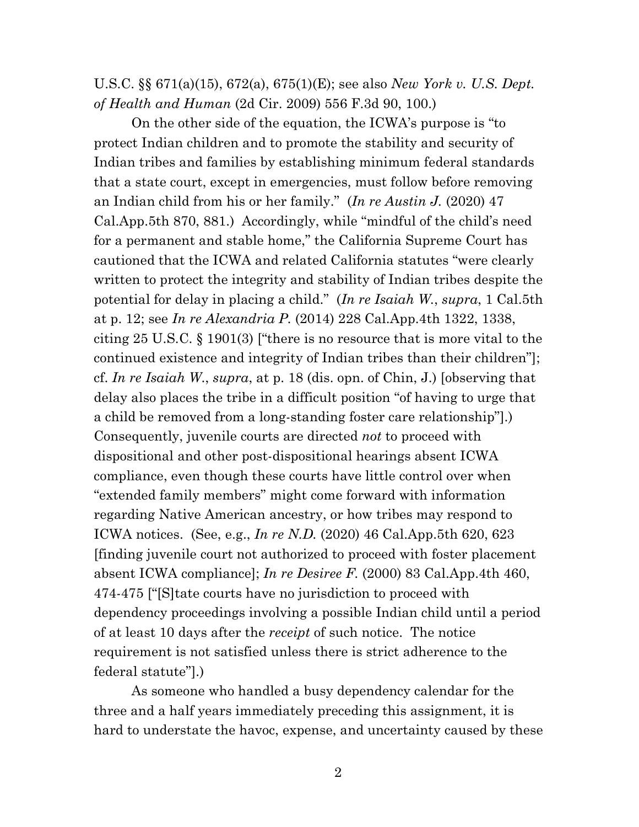U.S.C. §§ 671(a)(15), 672(a), 675(1)(E); see also *New York v. U.S. Dept. of Health and Human* (2d Cir. 2009) 556 F.3d 90, 100.)

On the other side of the equation, the ICWA's purpose is "to protect Indian children and to promote the stability and security of Indian tribes and families by establishing minimum federal standards that a state court, except in emergencies, must follow before removing an Indian child from his or her family." (*In re Austin J.* (2020) 47 Cal.App.5th 870, 881.) Accordingly, while "mindful of the child's need for a permanent and stable home," the California Supreme Court has cautioned that the ICWA and related California statutes "were clearly written to protect the integrity and stability of Indian tribes despite the potential for delay in placing a child." (*In re Isaiah W.*, *supra*, 1 Cal.5th at p. 12; see *In re Alexandria P.* (2014) 228 Cal.App.4th 1322, 1338, citing 25 U.S.C. § 1901(3) ["there is no resource that is more vital to the continued existence and integrity of Indian tribes than their children"]; cf. *In re Isaiah W*., *supra*, at p. 18 (dis. opn. of Chin, J.) [observing that delay also places the tribe in a difficult position "of having to urge that a child be removed from a long-standing foster care relationship"].) Consequently, juvenile courts are directed *not* to proceed with dispositional and other post-dispositional hearings absent ICWA compliance, even though these courts have little control over when "extended family members" might come forward with information regarding Native American ancestry, or how tribes may respond to ICWA notices. (See, e.g., *In re N.D.* (2020) 46 Cal.App.5th 620, 623 [finding juvenile court not authorized to proceed with foster placement absent ICWA compliance]; *In re Desiree F.* (2000) 83 Cal.App.4th 460, 474-475 ["[S]tate courts have no jurisdiction to proceed with dependency proceedings involving a possible Indian child until a period of at least 10 days after the *receipt* of such notice. The notice requirement is not satisfied unless there is strict adherence to the federal statute"].)

As someone who handled a busy dependency calendar for the three and a half years immediately preceding this assignment, it is hard to understate the havoc, expense, and uncertainty caused by these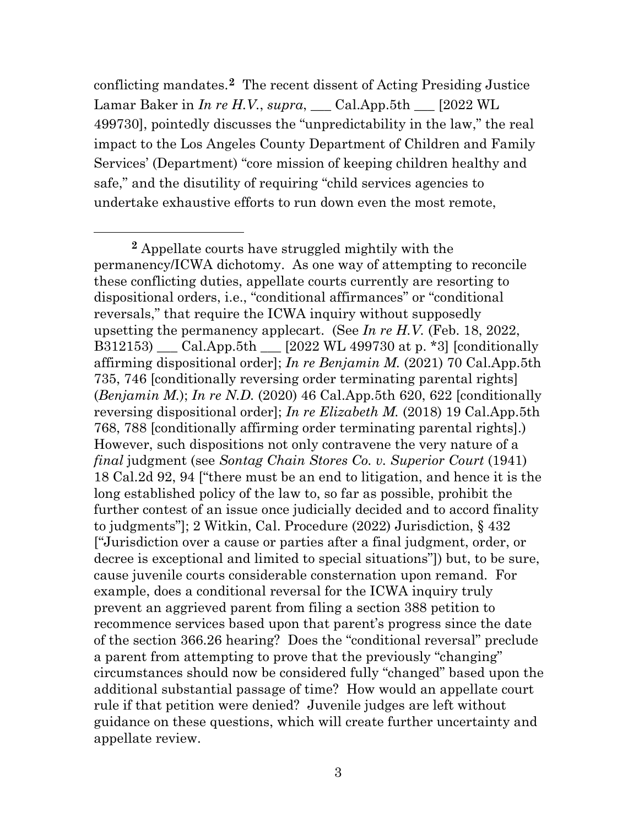conflicting mandates.**[2](#page-15-0)** The recent dissent of Acting Presiding Justice Lamar Baker in *In re H.V.*, *supra*, \_\_\_ Cal.App.5th \_\_\_ [2022 WL 499730], pointedly discusses the "unpredictability in the law," the real impact to the Los Angeles County Department of Children and Family Services' (Department) "core mission of keeping children healthy and safe," and the disutility of requiring "child services agencies to undertake exhaustive efforts to run down even the most remote,

<span id="page-15-0"></span>**<sup>2</sup>** Appellate courts have struggled mightily with the permanency/ICWA dichotomy. As one way of attempting to reconcile these conflicting duties, appellate courts currently are resorting to dispositional orders, i.e., "conditional affirmances" or "conditional reversals," that require the ICWA inquiry without supposedly upsetting the permanency applecart. (See *In re H.V.* (Feb. 18, 2022, B312153) \_\_\_ Cal.App.5th \_\_\_ [2022 WL 499730 at p. \*3] [conditionally affirming dispositional order]; *In re Benjamin M.* (2021) 70 Cal.App.5th 735, 746 [conditionally reversing order terminating parental rights] (*Benjamin M.*); *In re N.D.* (2020) 46 Cal.App.5th 620, 622 [conditionally reversing dispositional order]; *In re Elizabeth M.* (2018) 19 Cal.App.5th 768, 788 [conditionally affirming order terminating parental rights].) However, such dispositions not only contravene the very nature of a *final* judgment (see *Sontag Chain Stores Co. v. Superior Court* (1941) 18 Cal.2d 92, 94 ["there must be an end to litigation, and hence it is the long established policy of the law to, so far as possible, prohibit the further contest of an issue once judicially decided and to accord finality to judgments"]; 2 Witkin, Cal. Procedure (2022) Jurisdiction, § 432 ["Jurisdiction over a cause or parties after a final judgment, order, or decree is exceptional and limited to special situations"]) but, to be sure, cause juvenile courts considerable consternation upon remand. For example, does a conditional reversal for the ICWA inquiry truly prevent an aggrieved parent from filing a section 388 petition to recommence services based upon that parent's progress since the date of the section 366.26 hearing? Does the "conditional reversal" preclude a parent from attempting to prove that the previously "changing" circumstances should now be considered fully "changed" based upon the additional substantial passage of time? How would an appellate court rule if that petition were denied? Juvenile judges are left without guidance on these questions, which will create further uncertainty and appellate review.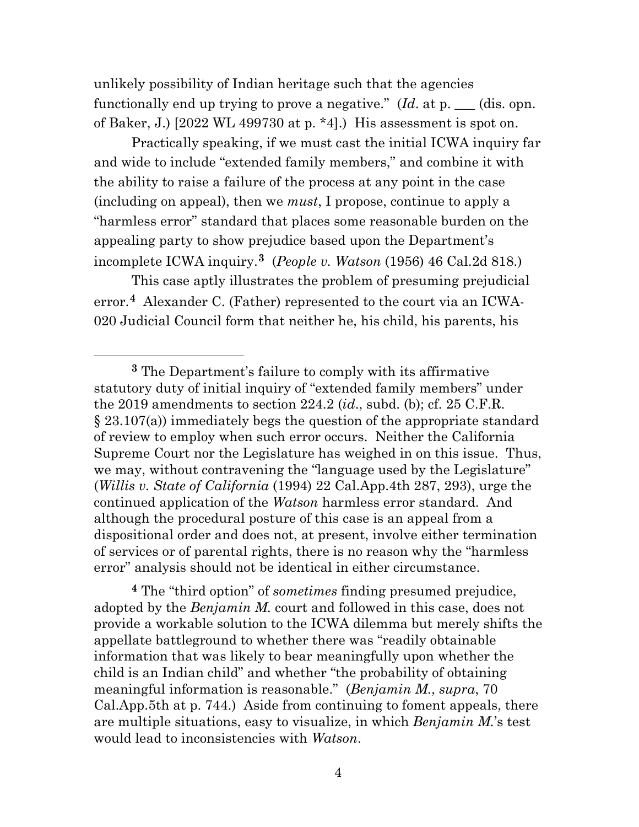unlikely possibility of Indian heritage such that the agencies functionally end up trying to prove a negative." (*Id*. at p. \_\_\_ (dis. opn. of Baker, J.) [2022 WL 499730 at p. \*4].) His assessment is spot on.

Practically speaking, if we must cast the initial ICWA inquiry far and wide to include "extended family members," and combine it with the ability to raise a failure of the process at any point in the case (including on appeal), then we *must*, I propose, continue to apply a "harmless error" standard that places some reasonable burden on the appealing party to show prejudice based upon the Department's incomplete ICWA inquiry.**[3](#page-16-0)** (*People v. Watson* (1956) 46 Cal.2d 818.)

This case aptly illustrates the problem of presuming prejudicial error.**[4](#page-16-1)** Alexander C. (Father) represented to the court via an ICWA-020 Judicial Council form that neither he, his child, his parents, his

<span id="page-16-1"></span>**<sup>4</sup>** The "third option" of *sometimes* finding presumed prejudice, adopted by the *Benjamin M.* court and followed in this case, does not provide a workable solution to the ICWA dilemma but merely shifts the appellate battleground to whether there was "readily obtainable information that was likely to bear meaningfully upon whether the child is an Indian child" and whether "the probability of obtaining meaningful information is reasonable." (*Benjamin M.*, *supra*, 70 Cal.App.5th at p. 744.) Aside from continuing to foment appeals, there are multiple situations, easy to visualize, in which *Benjamin M.*'s test would lead to inconsistencies with *Watson*.

<span id="page-16-0"></span>**<sup>3</sup>** The Department's failure to comply with its affirmative statutory duty of initial inquiry of "extended family members" under the 2019 amendments to section 224.2 (*id*., subd. (b); cf. 25 C.F.R. § 23.107(a)) immediately begs the question of the appropriate standard of review to employ when such error occurs. Neither the California Supreme Court nor the Legislature has weighed in on this issue. Thus, we may, without contravening the "language used by the Legislature" (*Willis v. State of California* (1994) 22 Cal.App.4th 287, 293), urge the continued application of the *Watson* harmless error standard. And although the procedural posture of this case is an appeal from a dispositional order and does not, at present, involve either termination of services or of parental rights, there is no reason why the "harmless error" analysis should not be identical in either circumstance.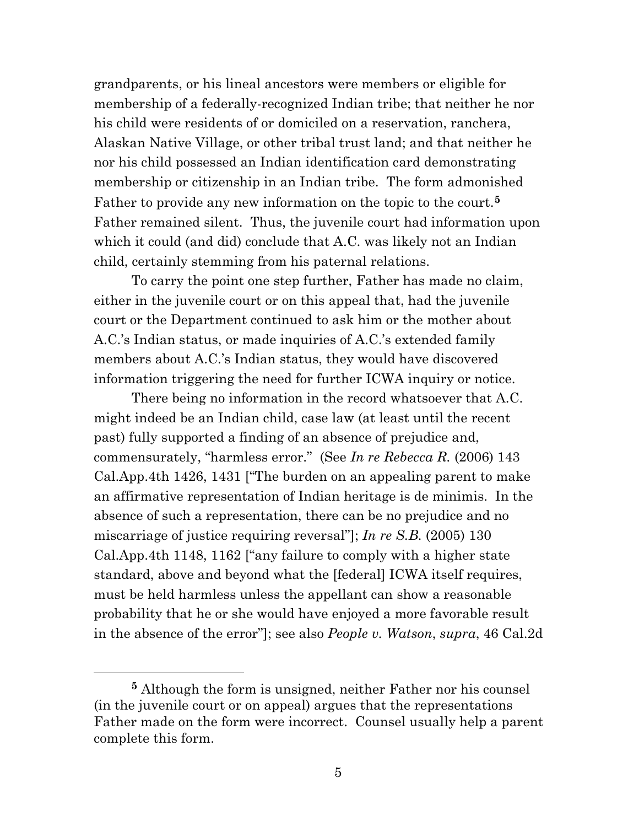grandparents, or his lineal ancestors were members or eligible for membership of a federally-recognized Indian tribe; that neither he nor his child were residents of or domiciled on a reservation, ranchera, Alaskan Native Village, or other tribal trust land; and that neither he nor his child possessed an Indian identification card demonstrating membership or citizenship in an Indian tribe. The form admonished Father to provide any new information on the topic to the court.**[5](#page-17-0)** Father remained silent. Thus, the juvenile court had information upon which it could (and did) conclude that A.C. was likely not an Indian child, certainly stemming from his paternal relations.

To carry the point one step further, Father has made no claim, either in the juvenile court or on this appeal that, had the juvenile court or the Department continued to ask him or the mother about A.C.'s Indian status, or made inquiries of A.C.'s extended family members about A.C.'s Indian status, they would have discovered information triggering the need for further ICWA inquiry or notice.

There being no information in the record whatsoever that A.C. might indeed be an Indian child, case law (at least until the recent past) fully supported a finding of an absence of prejudice and, commensurately, "harmless error." (See *In re Rebecca R.* (2006) 143 Cal.App.4th 1426, 1431 ["The burden on an appealing parent to make an affirmative representation of Indian heritage is de minimis. In the absence of such a representation, there can be no prejudice and no miscarriage of justice requiring reversal"]; *In re S.B.* (2005) 130 Cal.App.4th 1148, 1162 ["any failure to comply with a higher state standard, above and beyond what the [federal] ICWA itself requires, must be held harmless unless the appellant can show a reasonable probability that he or she would have enjoyed a more favorable result in the absence of the error"]; see also *People v. Watson*, *supra*, 46 Cal.2d

<span id="page-17-0"></span>**<sup>5</sup>** Although the form is unsigned, neither Father nor his counsel (in the juvenile court or on appeal) argues that the representations Father made on the form were incorrect. Counsel usually help a parent complete this form.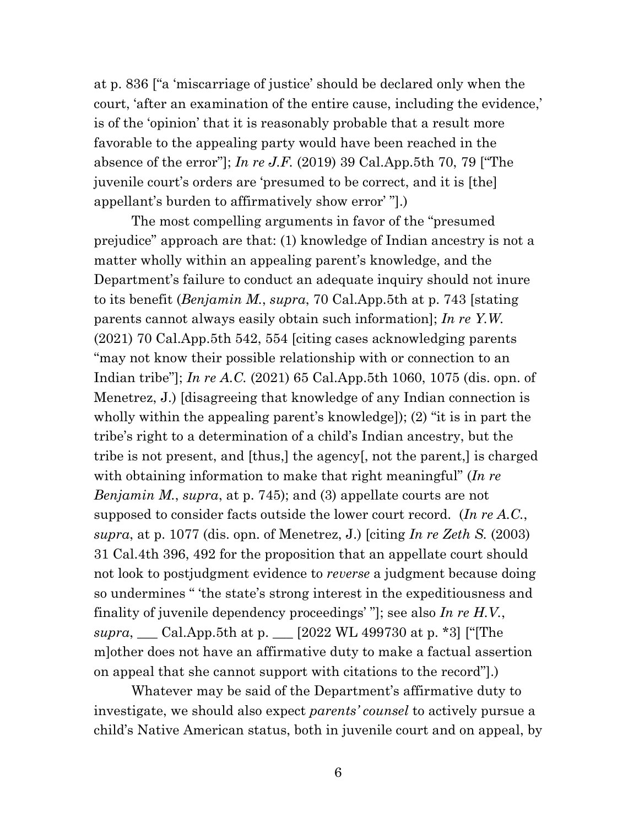at p. 836 ["a 'miscarriage of justice' should be declared only when the court, 'after an examination of the entire cause, including the evidence,' is of the 'opinion' that it is reasonably probable that a result more favorable to the appealing party would have been reached in the absence of the error"]; *In re J.F.* (2019) 39 Cal.App.5th 70, 79 ["The juvenile court's orders are 'presumed to be correct, and it is [the] appellant's burden to affirmatively show error' "].)

The most compelling arguments in favor of the "presumed prejudice" approach are that: (1) knowledge of Indian ancestry is not a matter wholly within an appealing parent's knowledge, and the Department's failure to conduct an adequate inquiry should not inure to its benefit (*Benjamin M.*, *supra*, 70 Cal.App.5th at p. 743 [stating parents cannot always easily obtain such information]; *In re Y.W.* (2021) 70 Cal.App.5th 542, 554 [citing cases acknowledging parents "may not know their possible relationship with or connection to an Indian tribe"]; *In re A.C.* (2021) 65 Cal.App.5th 1060, 1075 (dis. opn. of Menetrez, J.) [disagreeing that knowledge of any Indian connection is wholly within the appealing parent's knowledge]); (2) "it is in part the tribe's right to a determination of a child's Indian ancestry, but the tribe is not present, and [thus,] the agency[, not the parent,] is charged with obtaining information to make that right meaningful" (*In re Benjamin M.*, *supra*, at p. 745); and (3) appellate courts are not supposed to consider facts outside the lower court record. (*In re A.C.*, *supra*, at p. 1077 (dis. opn. of Menetrez, J.) [citing *In re Zeth S.* (2003) 31 Cal.4th 396, 492 for the proposition that an appellate court should not look to postjudgment evidence to *reverse* a judgment because doing so undermines " 'the state's strong interest in the expeditiousness and finality of juvenile dependency proceedings' "]; see also *In re H.V.*, *supra*, \_\_\_ Cal.App.5th at p. \_\_\_ [2022 WL 499730 at p. \*3] ["[The m]other does not have an affirmative duty to make a factual assertion on appeal that she cannot support with citations to the record"].)

Whatever may be said of the Department's affirmative duty to investigate, we should also expect *parents' counsel* to actively pursue a child's Native American status, both in juvenile court and on appeal, by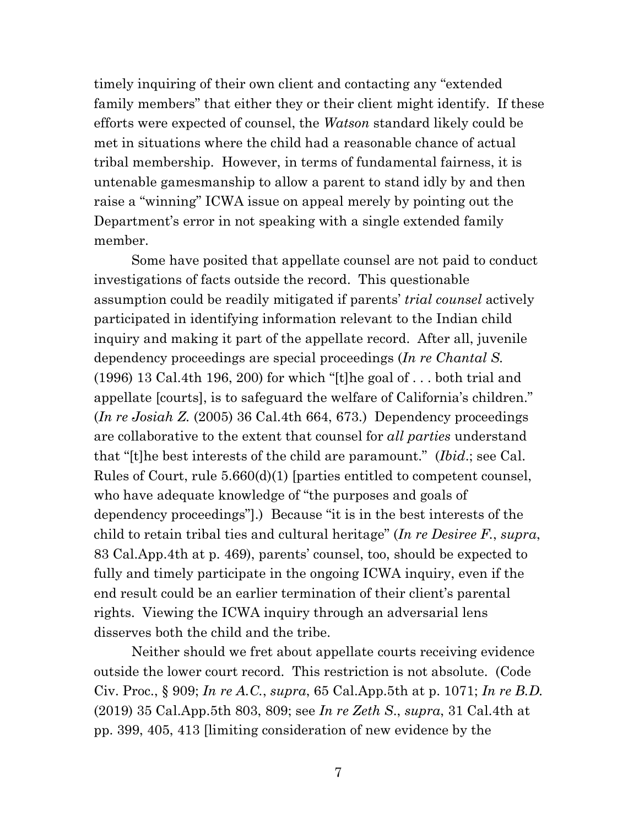timely inquiring of their own client and contacting any "extended family members" that either they or their client might identify. If these efforts were expected of counsel, the *Watson* standard likely could be met in situations where the child had a reasonable chance of actual tribal membership. However, in terms of fundamental fairness, it is untenable gamesmanship to allow a parent to stand idly by and then raise a "winning" ICWA issue on appeal merely by pointing out the Department's error in not speaking with a single extended family member.

Some have posited that appellate counsel are not paid to conduct investigations of facts outside the record. This questionable assumption could be readily mitigated if parents' *trial counsel* actively participated in identifying information relevant to the Indian child inquiry and making it part of the appellate record. After all, juvenile dependency proceedings are special proceedings (*In re Chantal S.* (1996) 13 Cal.4th 196, 200) for which "[t]he goal of . . . both trial and appellate [courts], is to safeguard the welfare of California's children." (*In re Josiah Z.* (2005) 36 Cal.4th 664, 673.) Dependency proceedings are collaborative to the extent that counsel for *all parties* understand that "[t]he best interests of the child are paramount." (*Ibid*.; see Cal. Rules of Court, rule 5.660(d)(1) [parties entitled to competent counsel, who have adequate knowledge of "the purposes and goals of dependency proceedings"].) Because "it is in the best interests of the child to retain tribal ties and cultural heritage" (*In re Desiree F.*, *supra*, 83 Cal.App.4th at p. 469), parents' counsel, too, should be expected to fully and timely participate in the ongoing ICWA inquiry, even if the end result could be an earlier termination of their client's parental rights. Viewing the ICWA inquiry through an adversarial lens disserves both the child and the tribe.

Neither should we fret about appellate courts receiving evidence outside the lower court record. This restriction is not absolute. (Code Civ. Proc., § 909; *In re A.C.*, *supra*, 65 Cal.App.5th at p. 1071; *In re B.D.* (2019) 35 Cal.App.5th 803, 809; see *In re Zeth S*., *supra*, 31 Cal.4th at pp. 399, 405, 413 [limiting consideration of new evidence by the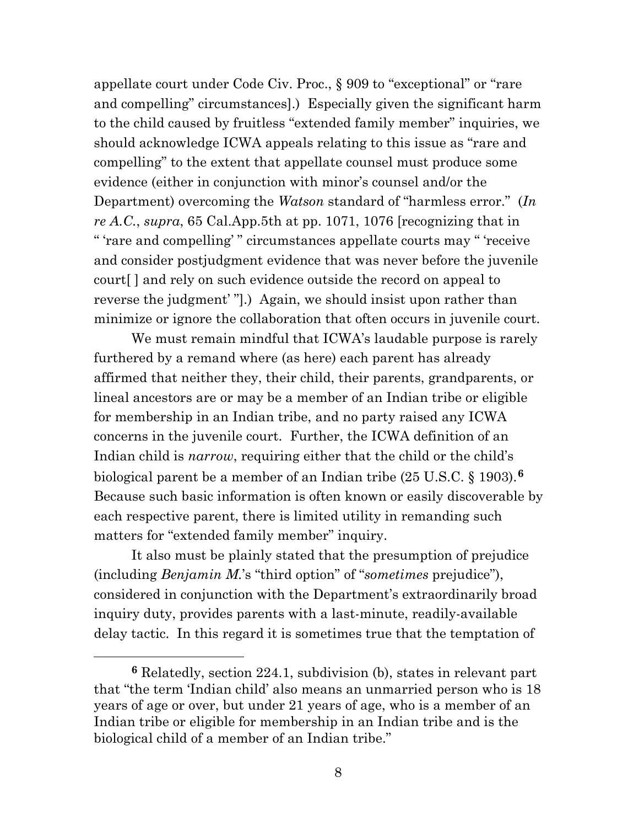appellate court under Code Civ. Proc., § 909 to "exceptional" or "rare and compelling" circumstances].) Especially given the significant harm to the child caused by fruitless "extended family member" inquiries, we should acknowledge ICWA appeals relating to this issue as "rare and compelling" to the extent that appellate counsel must produce some evidence (either in conjunction with minor's counsel and/or the Department) overcoming the *Watson* standard of "harmless error." (*In re A.C.*, *supra*, 65 Cal.App.5th at pp. 1071, 1076 [recognizing that in " 'rare and compelling' " circumstances appellate courts may " 'receive and consider postjudgment evidence that was never before the juvenile court[ ] and rely on such evidence outside the record on appeal to reverse the judgment' "].) Again, we should insist upon rather than minimize or ignore the collaboration that often occurs in juvenile court.

We must remain mindful that ICWA's laudable purpose is rarely furthered by a remand where (as here) each parent has already affirmed that neither they, their child, their parents, grandparents, or lineal ancestors are or may be a member of an Indian tribe or eligible for membership in an Indian tribe, and no party raised any ICWA concerns in the juvenile court. Further, the ICWA definition of an Indian child is *narrow*, requiring either that the child or the child's biological parent be a member of an Indian tribe (25 U.S.C. § 1903).**[6](#page-20-0)** Because such basic information is often known or easily discoverable by each respective parent, there is limited utility in remanding such matters for "extended family member" inquiry.

It also must be plainly stated that the presumption of prejudice (including *Benjamin M.*'s "third option" of "*sometimes* prejudice"), considered in conjunction with the Department's extraordinarily broad inquiry duty, provides parents with a last-minute, readily-available delay tactic. In this regard it is sometimes true that the temptation of

<span id="page-20-0"></span>**<sup>6</sup>** Relatedly, section 224.1, subdivision (b), states in relevant part that "the term 'Indian child' also means an unmarried person who is 18 years of age or over, but under 21 years of age, who is a member of an Indian tribe or eligible for membership in an Indian tribe and is the biological child of a member of an Indian tribe."